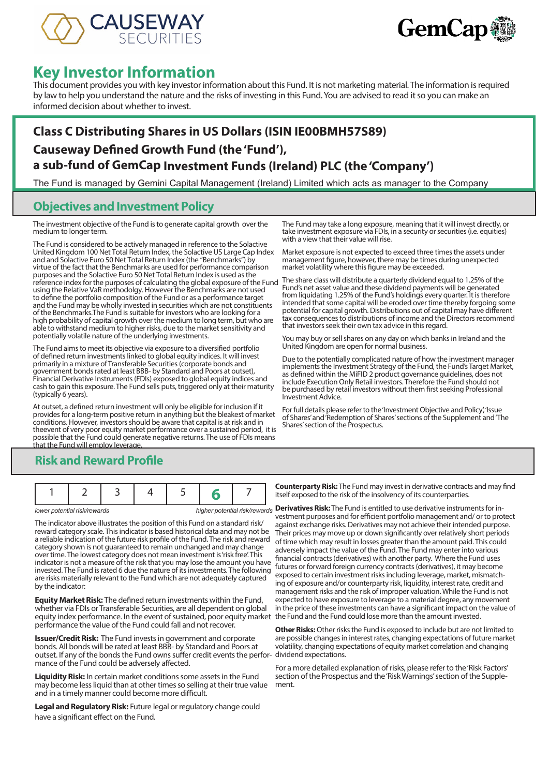



# **Key Investor Information**

This document provides you with key investor information about this Fund. It is not marketing material. The information is required by law to help you understand the nature and the risks of investing in this Fund. You are advised to read it so you can make an informed decision about whether to invest.

# **Class C Distributing Shares in US Dollars (ISIN IE00BMH57S89) Causeway Defined Growth Fund (the 'Fund'), a sub-fund of GemCap Investment Funds (Ireland) PLC (the 'Company')**

The Fund is managed by Gemini Capital Management (Ireland) Limited which acts as manager to the Company

### **Objectives and Investment Policy**

The investment objective of the Fund is to generate capital growth over the medium to longer term.

The Fund is considered to be actively managed in reference to the Solactive United Kingdom 100 Net Total Return Index, the Solactive US Large Cap Index and and Solactive Euro 50 Net Total Return Index (the "Benchmarks") by virtue of the fact that the Benchmarks are used for performance comparison purposes and the Solactive Euro 50 Net Total Return Index is used as the reference index for the purposes of calculating the global exposure of the Fund using the Relative VaR methodolgy. However the Benchmarks are not used to define the portfolio composition of the Fund or as a performance target and the Fund may be wholly invested in securities which are not constituents of the Benchmarks.The Fund is suitable for investors who are looking for a high probability of capital growth over the medium to long term, but who are able to withstand medium to higher risks, due to the market sensitivity and potentially volatile nature of the underlying investments.

The Fund aims to meet its objective via exposure to a diversified portfolio of defined return investments linked to global equity indices. It will invest primarily in a mixture of Transferable Securities (corporate bonds and government bonds rated at least BBB- by Standard and Poors at outset), Financial Derivative Instruments (FDIs) exposed to global equity indices and cash to gain this exposure. The Fund sells puts, triggered only at their maturity (typically 6 years).

At outset, a defined return investment will only be eligible for inclusion if it provides for a long-term positive return in anything but the bleakest of market conditions. However, investors should be aware that capital is at risk and in theevent of very poor equity market performance over a sustained period, it is possible that the Fund could generate negative returns. The use of FDIs means that the Fund will employ leverage.

The Fund may take a long exposure, meaning that it will invest directly, or take investment exposure via FDIs, in a security or securities (i.e. equities) with a view that their value will rise.

Market exposure is not expected to exceed three times the assets under management figure, however, there may be times during unexpected market volatility where this figure may be exceeded.

The share class will distribute a quarterly dividend equal to 1.25% of the Fund's net asset value and these dividend payments will be generated from liquidating 1.25% of the Fund's holdings every quarter. It is therefore intended that some capital will be eroded over time thereby forgoing some potential for capital growth. Distributions out of capital may have different tax consequences to distributions of income and the Directors recommend that investors seek their own tax advice in this regard.

You may buy or sell shares on any day on which banks in Ireland and the United Kingdom are open for normal business.

Due to the potentially complicated nature of how the investment manager implements the Investment Strategy of the Fund, the Fund's Target Market, as defined within the MiFID 2 product governance guidelines, does not include Execution Only Retail investors. Therefore the Fund should not be purchased by retail investors without them first seeking Professional Investment Advice.

For full details please refer to the 'Investment Objective and Policy', 'Issue of Shares' and 'Redemption of Shares' sections of the Supplement and 'The Shares' section of the Prospectus.

### **Risk and Reward Profile**

The indicator above illustrates the position of this Fund on a standard risk/ reward category scale. This indicator is based historical data and may not be a reliable indication of the future risk profile of the Fund. The risk and reward category shown is not guaranteed to remain unchanged and may change over time. The lowest category does not mean investment is 'risk free'. This indicator is not a measure of the risk that you may lose the amount you have invested. The Fund is rated 6 due the nature of its investments. The following are risks materially relevant to the Fund which are not adequately captured by the indicator:

**Equity Market Risk:** The defined return investments within the Fund, whether via FDIs or Transferable Securities, are all dependent on global equity index performance. In the event of sustained, poor equity market the Fund and the Fund could lose more than the amount invested. performance the value of the Fund could fall and not recover.

**Issuer/Credit Risk:** The Fund invests in government and corporate bonds. All bonds will be rated at least BBB- by Standard and Poors at outset. If any of the bonds the Fund owns suffer credit events the perfor-dividend expectations. mance of the Fund could be adversely affected.

**Liquidity Risk:** In certain market conditions some assets in the Fund may become less liquid than at other times so selling at their true value and in a timely manner could become more difficult.

**Legal and Regulatory Risk:** Future legal or regulatory change could have a significant effect on the Fund.

**Counterparty Risk:** The Fund may invest in derivative contracts and may find itself exposed to the risk of the insolvency of its counterparties.

*lower potential risk/rewards* **higher potential risk/rewards Derivatives Risk:** The Fund is entitled to use derivative instruments for investment purposes and for efficient portfolio management and/ or to protect against exchange risks. Derivatives may not achieve their intended purpose. Their prices may move up or down significantly over relatively short periods of time which may result in losses greater than the amount paid. This could adversely impact the value of the Fund. The Fund may enter into various financial contracts (derivatives) with another party. Where the Fund uses futures or forward foreign currency contracts (derivatives), it may become exposed to certain investment risks including leverage, market, mismatching of exposure and/or counterparty risk, liquidity, interest rate, credit and management risks and the risk of improper valuation. While the Fund is not expected to have exposure to leverage to a material degree, any movement in the price of these investments can have a significant impact on the value of

> **Other Risks:** Other risks the Fund is exposed to include but are not limited to are possible changes in interest rates, changing expectations of future market volatility, changing expectations of equity market correlation and changing

For a more detailed explanation of risks, please refer to the 'Risk Factors' section of the Prospectus and the 'Risk Warnings' section of the Supplement.